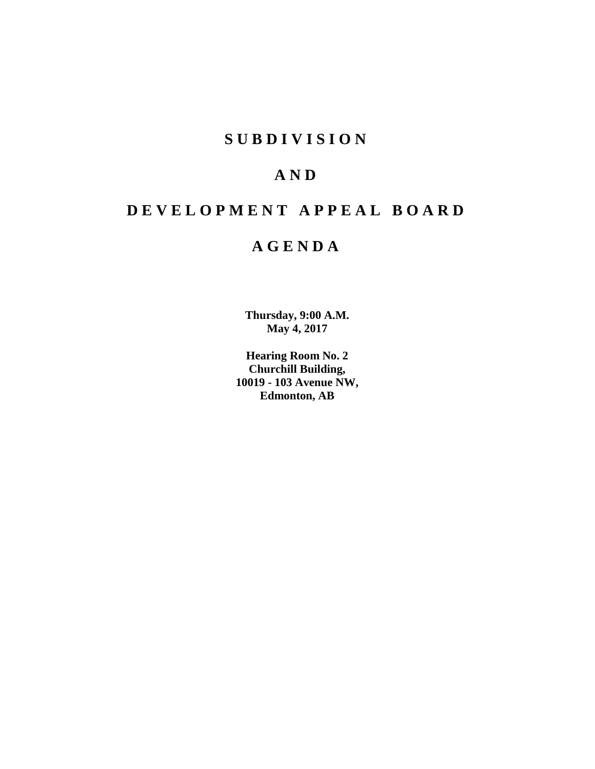## **SUBDIVISION**

## **AND**

# **DEVELOPMENT APPEAL BOARD**

## **AGENDA**

**Thursday, 9:00 A.M. May 4, 2017**

**Hearing Room No. 2 Churchill Building, 10019 - 103 Avenue NW, Edmonton, AB**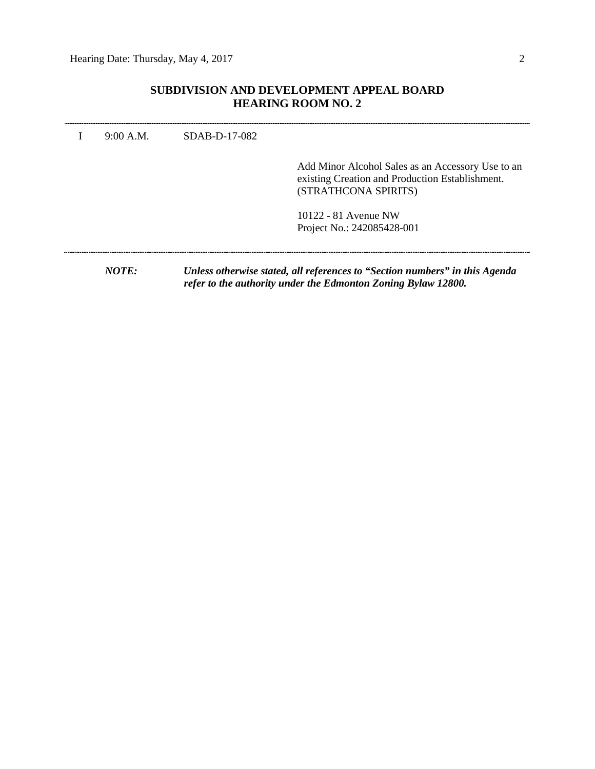## **SUBDIVISION AND DEVELOPMENT APPEAL BOARD HEARING ROOM NO. 2**

| 9:00 A.M.    | SDAB-D-17-082 |                                                                                                                              |
|--------------|---------------|------------------------------------------------------------------------------------------------------------------------------|
|              |               | Add Minor Alcohol Sales as an Accessory Use to an<br>existing Creation and Production Establishment.<br>(STRATHCONA SPIRITS) |
|              |               | 10122 - 81 Avenue NW<br>Project No.: 242085428-001                                                                           |
| <i>NOTE:</i> |               | Unless otherwise stated, all references to "Section numbers" in this Agenda                                                  |

*refer to the authority under the Edmonton Zoning Bylaw 12800.*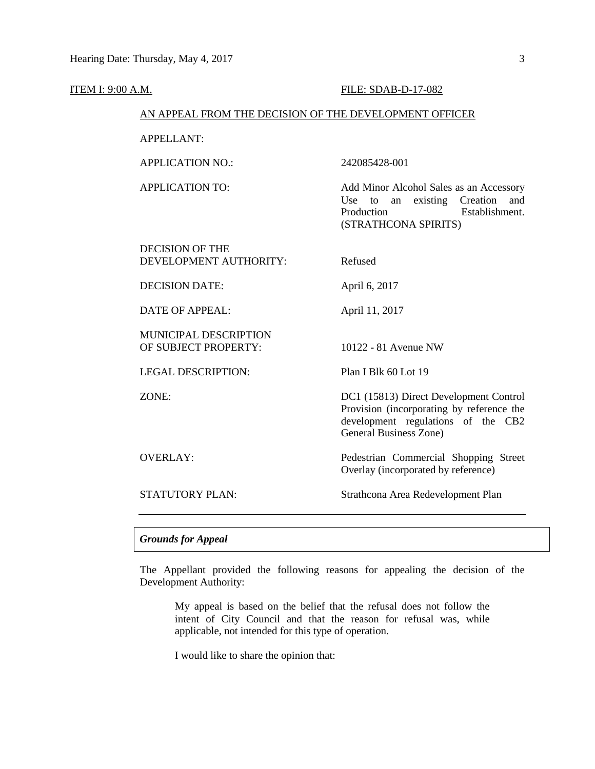#### **ITEM I: 9:00 A.M. FILE: SDAB-D-17-082**

#### AN APPEAL FROM THE DECISION OF THE DEVELOPMENT OFFICER

APPELLANT:

APPLICATION NO.: 242085428-001

APPLICATION TO: Add Minor Alcohol Sales as an Accessory Use to an existing Creation and Production Establishment. (STRATHCONA SPIRITS)

DECISION OF THE DEVELOPMENT AUTHORITY: Refused

DECISION DATE: April 6, 2017

DATE OF APPEAL: April 11, 2017

MUNICIPAL DESCRIPTION OF SUBJECT PROPERTY: 10122 - 81 Avenue NW

LEGAL DESCRIPTION: Plan I Blk 60 Lot 19

ZONE: DC1 (15813) Direct Development Control

Provision (incorporating by reference the development regulations of the CB2 General Business Zone)

OVERLAY: Pedestrian Commercial Shopping Street Overlay (incorporated by reference)

STATUTORY PLAN: Strathcona Area Redevelopment Plan

#### *Grounds for Appeal*

The Appellant provided the following reasons for appealing the decision of the Development Authority:

My appeal is based on the belief that the refusal does not follow the intent of City Council and that the reason for refusal was, while applicable, not intended for this type of operation.

I would like to share the opinion that: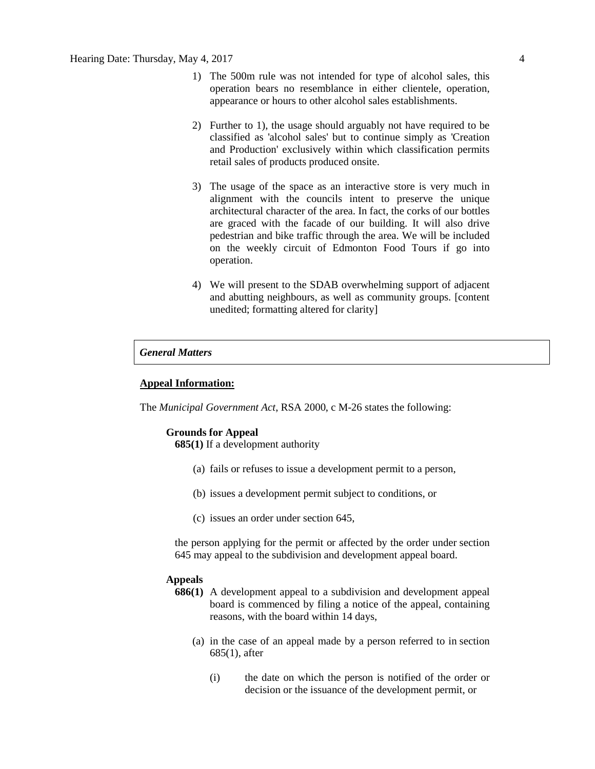- 1) The 500m rule was not intended for type of alcohol sales, this operation bears no resemblance in either clientele, operation, appearance or hours to other alcohol sales establishments.
- 2) Further to 1), the usage should arguably not have required to be classified as 'alcohol sales' but to continue simply as 'Creation and Production' exclusively within which classification permits retail sales of products produced onsite.
- 3) The usage of the space as an interactive store is very much in alignment with the councils intent to preserve the unique architectural character of the area. In fact, the corks of our bottles are graced with the facade of our building. It will also drive pedestrian and bike traffic through the area. We will be included on the weekly circuit of Edmonton Food Tours if go into operation.
- 4) We will present to the SDAB overwhelming support of adjacent and abutting neighbours, as well as community groups. [content unedited; formatting altered for clarity]

### *General Matters*

#### **Appeal Information:**

The *Municipal Government Act*, RSA 2000, c M-26 states the following:

#### **Grounds for Appeal**

**685(1)** If a development authority

- (a) fails or refuses to issue a development permit to a person,
- (b) issues a development permit subject to conditions, or
- (c) issues an order under section 645,

the person applying for the permit or affected by the order under section 645 may appeal to the subdivision and development appeal board.

#### **Appeals**

- **686(1)** A development appeal to a subdivision and development appeal board is commenced by filing a notice of the appeal, containing reasons, with the board within 14 days,
	- (a) in the case of an appeal made by a person referred to in section 685(1), after
		- (i) the date on which the person is notified of the order or decision or the issuance of the development permit, or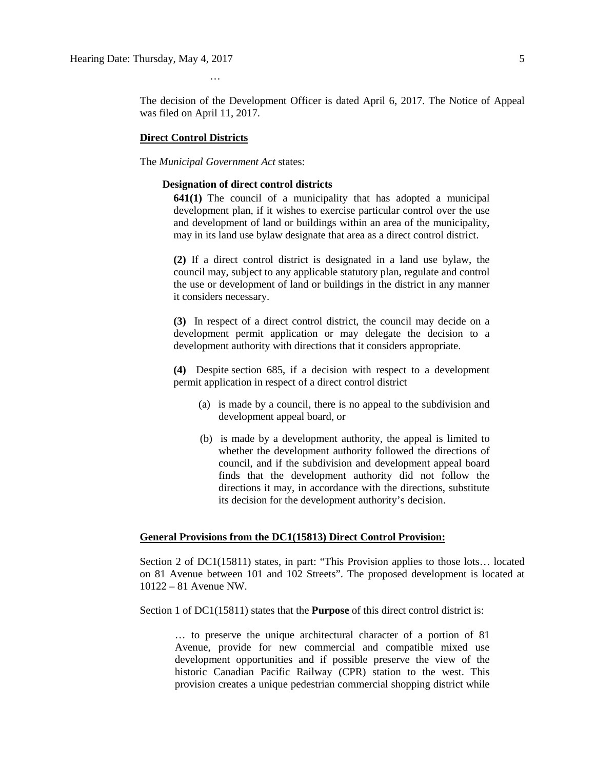The decision of the Development Officer is dated April 6, 2017. The Notice of Appeal was filed on April 11, 2017.

#### **Direct Control Districts**

The *Municipal Government Act* states:

…

#### **Designation of direct control districts**

**641(1)** The council of a municipality that has adopted a municipal development plan, if it wishes to exercise particular control over the use and development of land or buildings within an area of the municipality, may in its land use bylaw designate that area as a direct control district.

**(2)** If a direct control district is designated in a land use bylaw, the council may, subject to any applicable statutory plan, regulate and control the use or development of land or buildings in the district in any manner it considers necessary.

**(3)** In respect of a direct control district, the council may decide on a development permit application or may delegate the decision to a development authority with directions that it considers appropriate.

**(4)** Despite section 685, if a decision with respect to a development permit application in respect of a direct control district

- (a) is made by a council, there is no appeal to the subdivision and development appeal board, or
- (b) is made by a development authority, the appeal is limited to whether the development authority followed the directions of council, and if the subdivision and development appeal board finds that the development authority did not follow the directions it may, in accordance with the directions, substitute its decision for the development authority's decision.

#### **General Provisions from the DC1(15813) Direct Control Provision:**

Section 2 of DC1(15811) states, in part: "This Provision applies to those lots… located on 81 Avenue between 101 and 102 Streets". The proposed development is located at 10122 – 81 Avenue NW.

Section 1 of DC1(15811) states that the **Purpose** of this direct control district is:

… to preserve the unique architectural character of a portion of 81 Avenue, provide for new commercial and compatible mixed use development opportunities and if possible preserve the view of the historic Canadian Pacific Railway (CPR) station to the west. This provision creates a unique pedestrian commercial shopping district while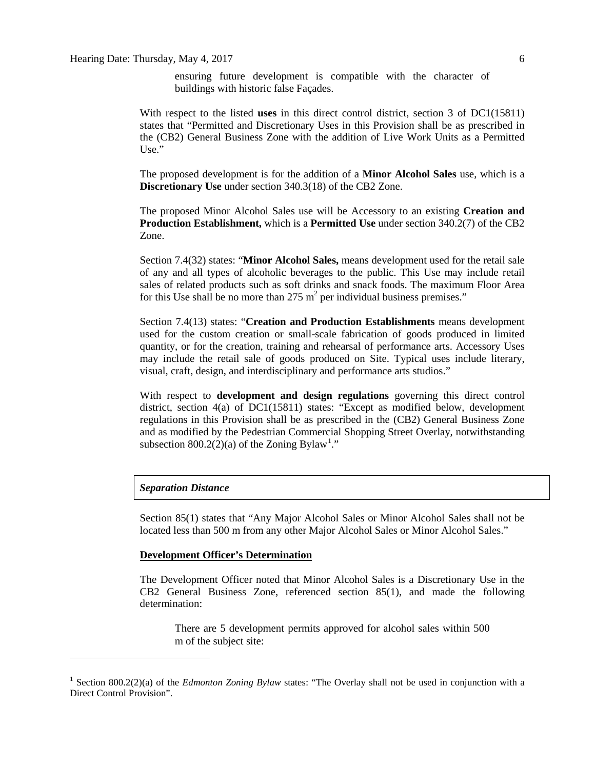ensuring future development is compatible with the character of buildings with historic false Façades.

With respect to the listed **uses** in this direct control district, section 3 of DC1(15811) states that "Permitted and Discretionary Uses in this Provision shall be as prescribed in the (CB2) General Business Zone with the addition of Live Work Units as a Permitted Use."

The proposed development is for the addition of a **Minor Alcohol Sales** use, which is a **Discretionary Use** under section 340.3(18) of the CB2 Zone.

The proposed Minor Alcohol Sales use will be Accessory to an existing **Creation and Production Establishment,** which is a **Permitted Use** under section 340.2(7) of the CB2 Zone.

Section 7.4(32) states: "**Minor Alcohol Sales,** means development used for the retail sale of any and all types of alcoholic beverages to the public. This Use may include retail sales of related products such as soft drinks and snack foods. The maximum Floor Area for this Use shall be no more than  $275 \text{ m}^2$  per individual business premises."

Section 7.4(13) states: "**Creation and Production Establishments** means development used for the custom creation or small-scale fabrication of goods produced in limited quantity, or for the creation, training and rehearsal of performance arts. Accessory Uses may include the retail sale of goods produced on Site. Typical uses include literary, visual, craft, design, and interdisciplinary and performance arts studios."

With respect to **development and design regulations** governing this direct control district, section 4(a) of DC1(15811) states: "Except as modified below, development regulations in this Provision shall be as prescribed in the (CB2) General Business Zone and as modified by the Pedestrian Commercial Shopping Street Overlay, notwithstanding subsection 800.2(2)(a) of the Zoning Bylaw<sup>[1](#page-5-0)</sup>."

#### *Separation Distance*

Section 85(1) states that "Any Major Alcohol Sales or Minor Alcohol Sales shall not be located less than 500 m from any other Major Alcohol Sales or Minor Alcohol Sales."

#### **Development Officer's Determination**

The Development Officer noted that Minor Alcohol Sales is a Discretionary Use in the CB2 General Business Zone, referenced section 85(1), and made the following determination:

There are 5 development permits approved for alcohol sales within 500 m of the subject site:

<span id="page-5-0"></span><sup>&</sup>lt;sup>1</sup> Section 800.2(2)(a) of the *Edmonton Zoning Bylaw* states: "The Overlay shall not be used in conjunction with a Direct Control Provision".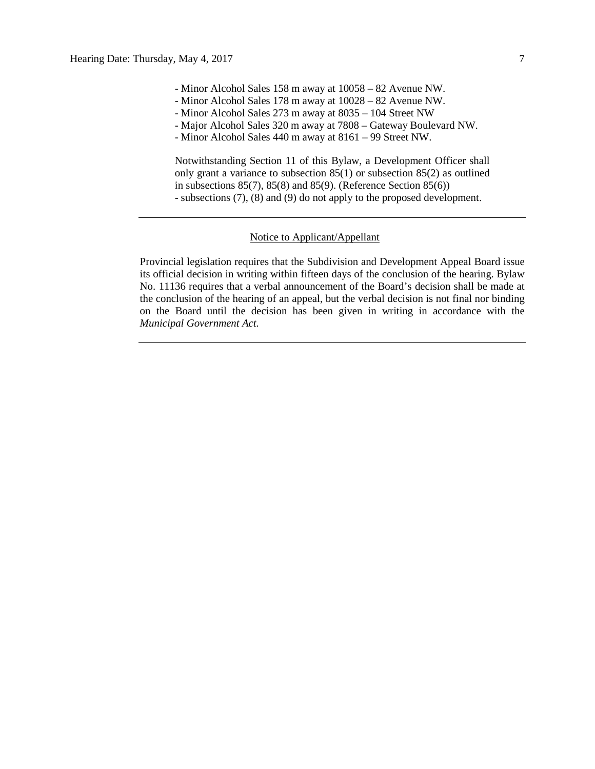- Minor Alcohol Sales 158 m away at 10058 82 Avenue NW.
- Minor Alcohol Sales 178 m away at 10028 82 Avenue NW.
- Minor Alcohol Sales 273 m away at 8035 104 Street NW
- Major Alcohol Sales 320 m away at 7808 Gateway Boulevard NW.
- Minor Alcohol Sales 440 m away at 8161 99 Street NW.

Notwithstanding Section 11 of this Bylaw, a Development Officer shall only grant a variance to subsection  $85(1)$  or subsection  $85(2)$  as outlined in subsections 85(7), 85(8) and 85(9). (Reference Section 85(6)) - subsections (7), (8) and (9) do not apply to the proposed development.

#### Notice to Applicant/Appellant

Provincial legislation requires that the Subdivision and Development Appeal Board issue its official decision in writing within fifteen days of the conclusion of the hearing. Bylaw No. 11136 requires that a verbal announcement of the Board's decision shall be made at the conclusion of the hearing of an appeal, but the verbal decision is not final nor binding on the Board until the decision has been given in writing in accordance with the *Municipal Government Act.*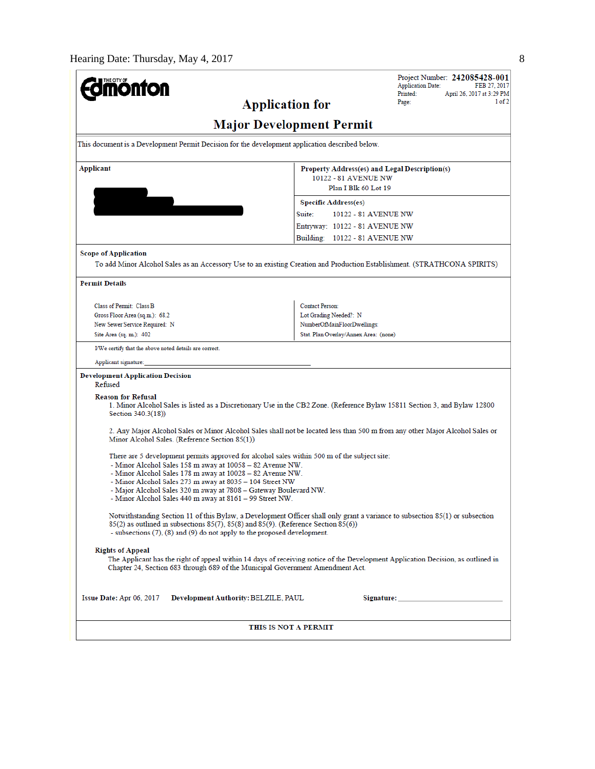| <b>nonton</b>                                                                                                                                                                                                                                                                                          | Project Number: 242085428-001<br><b>Application Date:</b><br>FEB 27, 2017<br>Printed:<br>April 26, 2017 at 3:29 PM |  |  |  |  |  |  |  |  |
|--------------------------------------------------------------------------------------------------------------------------------------------------------------------------------------------------------------------------------------------------------------------------------------------------------|--------------------------------------------------------------------------------------------------------------------|--|--|--|--|--|--|--|--|
| <b>Application for</b>                                                                                                                                                                                                                                                                                 | 1 of 2<br>Page:                                                                                                    |  |  |  |  |  |  |  |  |
| <b>Major Development Permit</b>                                                                                                                                                                                                                                                                        |                                                                                                                    |  |  |  |  |  |  |  |  |
| This document is a Development Permit Decision for the development application described below.                                                                                                                                                                                                        |                                                                                                                    |  |  |  |  |  |  |  |  |
| Applicant                                                                                                                                                                                                                                                                                              | Property Address(es) and Legal Description(s)<br>10122 - 81 AVENUE NW<br>Plan I Blk 60 Lot 19                      |  |  |  |  |  |  |  |  |
|                                                                                                                                                                                                                                                                                                        | <b>Specific Address(es)</b>                                                                                        |  |  |  |  |  |  |  |  |
|                                                                                                                                                                                                                                                                                                        | Suite:<br>10122 - 81 AVENUE NW                                                                                     |  |  |  |  |  |  |  |  |
|                                                                                                                                                                                                                                                                                                        | Entryway: 10122 - 81 AVENUE NW                                                                                     |  |  |  |  |  |  |  |  |
|                                                                                                                                                                                                                                                                                                        | Building: 10122 - 81 AVENUE NW                                                                                     |  |  |  |  |  |  |  |  |
| <b>Scope of Application</b>                                                                                                                                                                                                                                                                            |                                                                                                                    |  |  |  |  |  |  |  |  |
| To add Minor Alcohol Sales as an Accessory Use to an existing Creation and Production Establishment. (STRATHCONA SPIRITS)                                                                                                                                                                              |                                                                                                                    |  |  |  |  |  |  |  |  |
| <b>Permit Details</b>                                                                                                                                                                                                                                                                                  |                                                                                                                    |  |  |  |  |  |  |  |  |
| Class of Permit: Class B                                                                                                                                                                                                                                                                               | Contact Person:                                                                                                    |  |  |  |  |  |  |  |  |
| Gross Floor Area (sq.m.): 68.2                                                                                                                                                                                                                                                                         | Lot Grading Needed?: N                                                                                             |  |  |  |  |  |  |  |  |
| New Sewer Service Required: N                                                                                                                                                                                                                                                                          | NumberOfMainFloorDwellings:                                                                                        |  |  |  |  |  |  |  |  |
| Site Area (sq. m.): 402                                                                                                                                                                                                                                                                                | Stat. Plan Overlay/Annex Area: (none)                                                                              |  |  |  |  |  |  |  |  |
| I/We certify that the above noted details are correct.                                                                                                                                                                                                                                                 |                                                                                                                    |  |  |  |  |  |  |  |  |
| Applicant signature:                                                                                                                                                                                                                                                                                   |                                                                                                                    |  |  |  |  |  |  |  |  |
| <b>Development Application Decision</b><br>Refused                                                                                                                                                                                                                                                     |                                                                                                                    |  |  |  |  |  |  |  |  |
| <b>Reason for Refusal</b><br>1. Minor Alcohol Sales is listed as a Discretionary Use in the CB2 Zone. (Reference Bylaw 15811 Section 3, and Bylaw 12800<br>Section 340.3(18))                                                                                                                          |                                                                                                                    |  |  |  |  |  |  |  |  |
| 2. Any Major Alcohol Sales or Minor Alcohol Sales shall not be located less than 500 m from any other Major Alcohol Sales or<br>Minor Alcohol Sales. (Reference Section 85(1))                                                                                                                         |                                                                                                                    |  |  |  |  |  |  |  |  |
| There are 5 development permits approved for alcohol sales within 500 m of the subject site:<br>- Minor Alcohol Sales 158 m away at 10058 – 82 Avenue NW.<br>- Minor Alcohol Sales 178 m away at 10028 – 82 Avenue NW.                                                                                 |                                                                                                                    |  |  |  |  |  |  |  |  |
| - Minor Alcohol Sales 273 m away at 8035 - 104 Street NW<br>- Major Alcohol Sales 320 m away at 7808 – Gateway Boulevard NW.<br>- Minor Alcohol Sales 440 m away at 8161 - 99 Street NW.                                                                                                               |                                                                                                                    |  |  |  |  |  |  |  |  |
| Notwithstanding Section 11 of this Bylaw, a Development Officer shall only grant a variance to subsection 85(1) or subsection<br>85(2) as outlined in subsections 85(7), 85(8) and 85(9). (Reference Section 85(6))<br>- subsections $(7)$ , $(8)$ and $(9)$ do not apply to the proposed development. |                                                                                                                    |  |  |  |  |  |  |  |  |
| <b>Rights of Appeal</b><br>The Applicant has the right of appeal within 14 days of receiving notice of the Development Application Decision, as outlined in<br>Chapter 24, Section 683 through 689 of the Municipal Government Amendment Act.                                                          |                                                                                                                    |  |  |  |  |  |  |  |  |
| Issue Date: Apr 06, 2017<br>Development Authority: BELZILE, PAUL                                                                                                                                                                                                                                       |                                                                                                                    |  |  |  |  |  |  |  |  |
| THIS IS NOT A PERMIT                                                                                                                                                                                                                                                                                   |                                                                                                                    |  |  |  |  |  |  |  |  |
|                                                                                                                                                                                                                                                                                                        |                                                                                                                    |  |  |  |  |  |  |  |  |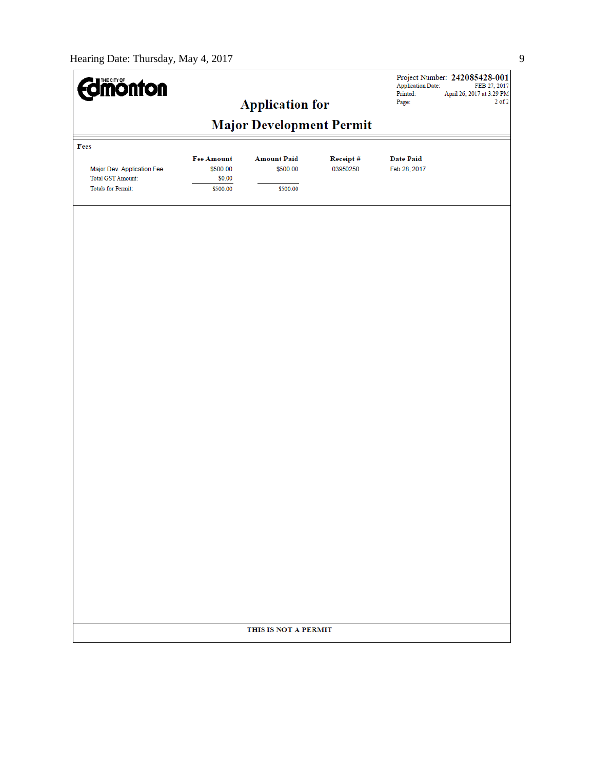| <b>Edmonton</b>                                 |                                         |                                |                      | <b>Application Date:</b><br>Printed: | Project Number: 242085428-001<br>FEB 27, 2017<br>April 26, 2017 at 3:29 PM |  |  |  |  |
|-------------------------------------------------|-----------------------------------------|--------------------------------|----------------------|--------------------------------------|----------------------------------------------------------------------------|--|--|--|--|
|                                                 |                                         | <b>Application for</b>         |                      | Page:                                | $2$ of $2$                                                                 |  |  |  |  |
| <b>Major Development Permit</b>                 |                                         |                                |                      |                                      |                                                                            |  |  |  |  |
| Fees                                            |                                         |                                |                      |                                      |                                                                            |  |  |  |  |
| Major Dev. Application Fee<br>Total GST Amount: | <b>Fee Amount</b><br>\$500.00<br>\$0.00 | <b>Amount Paid</b><br>\$500.00 | Receipt#<br>03950250 | <b>Date Paid</b><br>Feb 28, 2017     |                                                                            |  |  |  |  |
| <b>Totals for Permit:</b>                       | \$500.00                                | \$500.00                       |                      |                                      |                                                                            |  |  |  |  |
|                                                 |                                         |                                |                      |                                      |                                                                            |  |  |  |  |
|                                                 |                                         |                                |                      |                                      |                                                                            |  |  |  |  |
|                                                 |                                         |                                |                      |                                      |                                                                            |  |  |  |  |
|                                                 |                                         |                                |                      |                                      |                                                                            |  |  |  |  |
|                                                 |                                         |                                |                      |                                      |                                                                            |  |  |  |  |
|                                                 |                                         |                                |                      |                                      |                                                                            |  |  |  |  |
|                                                 |                                         |                                |                      |                                      |                                                                            |  |  |  |  |
|                                                 |                                         |                                |                      |                                      |                                                                            |  |  |  |  |
|                                                 |                                         |                                |                      |                                      |                                                                            |  |  |  |  |
|                                                 |                                         |                                |                      |                                      |                                                                            |  |  |  |  |
|                                                 |                                         |                                |                      |                                      |                                                                            |  |  |  |  |
|                                                 |                                         |                                |                      |                                      |                                                                            |  |  |  |  |
|                                                 |                                         |                                |                      |                                      |                                                                            |  |  |  |  |
|                                                 |                                         |                                |                      |                                      |                                                                            |  |  |  |  |
|                                                 |                                         |                                |                      |                                      |                                                                            |  |  |  |  |
|                                                 |                                         |                                |                      |                                      |                                                                            |  |  |  |  |
|                                                 |                                         |                                |                      |                                      |                                                                            |  |  |  |  |
|                                                 |                                         |                                |                      |                                      |                                                                            |  |  |  |  |
|                                                 |                                         |                                |                      |                                      |                                                                            |  |  |  |  |
|                                                 |                                         |                                |                      |                                      |                                                                            |  |  |  |  |
|                                                 |                                         |                                |                      |                                      |                                                                            |  |  |  |  |
|                                                 |                                         | THIS IS NOT A PERMIT           |                      |                                      |                                                                            |  |  |  |  |
|                                                 |                                         |                                |                      |                                      |                                                                            |  |  |  |  |